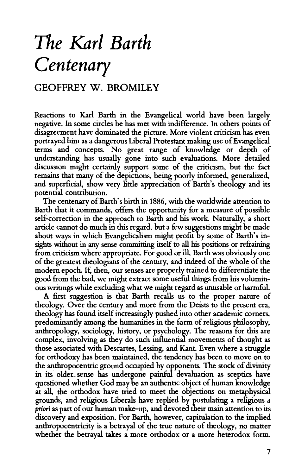## *The Karl Barth Centenary*

## GEOFFREY W. BROMILEY

Reactions to Karl Barth in the Evangelical world have been largely negative. In some circles he has met with indifference. In others points of disagreement have dominated the picture. More violent criticism has even portrayed him as a dangerous Liberal Protestant making use of Evangelical terms and concepts. No great range of knowledge or depth of understanding has usually gone into such evaluations. More detailed discussion might certainly support some of the criticism, but the fact remains that many of the depictions, being poorly informed, generalized, and superficial, show very little appreciation of Barth's theology and its potential contribution.

The centenary of Barth's birth in 1886, with the worldwide attention to Barth that it commands, offers the opportunity for a measure of possible self-correction in the approach to Barth and his work. Naturally, a short article cannot do much in this regard, but a few suggestions might be made about ways in which Evangelicalism might profit by some of Barth's insights without in any sense committing itself to all his positions or refraining from criticism where appropriate. For good or ill, Barth was obviously one of the greatest theologians of the century, and indeed of the whole of the modem epoch. If, then, our senses are properly trained to differentiate the good from the bad, we might extract some useful things from his voluminous writings while excluding what we might regard as unusable or harmful.

A first suggestion is that Barth recalls us to the proper nature of theology. Over the century and more from the Deists to the present era, theology has found itself increasingly pushed into other academic corners, predominantly among the humanities in the form of religious philosophy, anthropology, sociology, history, or psychology. The reasons for this are complex, involving as they do such influential movements of thought as those associated with Descartes, Lessing, and Kant. Even where a struggle for orthodoxy has been maintained, the tendency has been to move on to the anthropocentric ground occupied by opponents. The stock of divinity in its older\_ sense has undergone painful devaluation as sceptics have questioned whether God may be an authentic object of human knowledge at all, the orthodox have tried to meet the objections on metaphysical grounds, and religious Liberals have replied by postulating a religious *a priori* as part of our human make-up, and devoted their main attention to its discovery and exposition. For Barth, however, capitulation to the implied anthropocentricity is a betrayal of the true nature of theology, no matter whether the betrayal takes a more orthodox or a more heterodox form.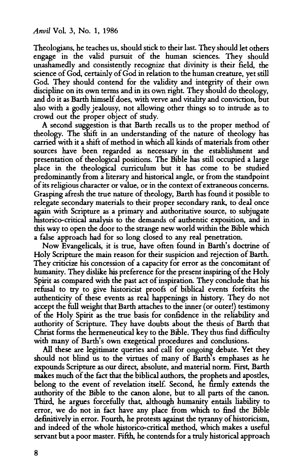Theologians, he teaches us, should stick to their last They should let others engage in the valid pursuit of the human sciences. They should unashamedly and consistently recognize that divinity is their field, the science of God, certainly of God in relation to the human creature, yet still God. They should contend for the validity and integrity of their own discipline on its own terms and in its own right. They should do theology, and do it as Barth himself does, with verve and vitality and conviction, but also with a godly jealousy, not allowing other things so to intrude as to crowd out the proper object of study.

A second suggestion is that Barth recalls us to the proper method of theology. The shift in an understanding of the nature of theology has carried with it a shift of method in which all kinds of materials from other sources have been regarded as necessary in the establishment and presentation of theological positions. The Bible has still occupied a large place in the theological curriculum but it has come to be studied predominantly from a literary and historical angle, or from the standpoint of its religious character or value, or in the context of extraneous concerns. Grasping afresh the true nature of theology, Barth has found it possible to relegate secondary materials to their proper secondary rank, to deal once again with Scripture as a primary and authoritative source, to subjugate historico-critical analysis to the demands of authentic exposition, and in this way to open the door to the strange new world within the Bible which a false approach had for so long closed to any real penetration.

Now Evangelicals, it is true, have often found in Barth's doctrine of Holy Scripture the main reason for their suspicion and rejection of Barth. They criticize his concession of a capacity for error as the concomitant of humanity. They dislike his preference for the present inspiring of the Holy Spirit as compared with the past act of inspiration. They conclude that his refusal to try to give historicist proofs of biblical events forfeits the authenticity of these events as real happenings in history. They do not accept the full weight that Barth attaches to the inner (or outer!) testimony of the Holy Spirit as the true basis for confidence in the reliability and authority of Scripture. They have doubts about the thesis of Barth that Christ forms the hermeneutical key to the Bible. They thus find difficulty with many of Barth's own exegetical procedures and conclusions.

All these are legitimate queries and call for ongoing debate. Yet they should not blind us to the virtues of many of Barth's emphases as he expounds Scripture as our direct, absolute, and material norm. First, Barth makes much of the fact that the biblical authors, the prophets and apostles, belong to the event of revelation itsel£ Second, he firmly extends the authority of the Bible to the canon alone, but to all parts of the canon. Third, he argues forcefully that, although humanity entails liability to error, we do not in fact have any place from which to find the Bible definitively in error. Fourth, he protests against the tyranny of historicism, and indeed of the whole historico-critical method, which makes a useful servant but a poor master. Fifth. he contends for a truly historical approach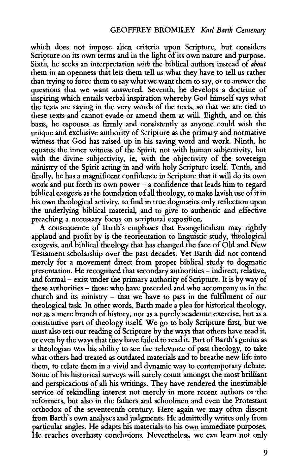which does not impose alien criteria upon Scripture, but considers Scripture on its own terms and in the light of its own nature and purpose. Sixth, he seeks an interpretation *with* the biblical authors instead of *about*  them in an openness that lets them tell us what they have to tell us rather than trying to force them to say what we want them to say, or to answer the questions that we want answered. Seventh, he develops a doctrine of inspiring which entails verbal inspiration whereby God himself says what the texts are saying in the very words of the texts, so that we are tied to these texts and cannot evade or amend them at will. Eighth, and on this basis, he espouses as firmly and consistently as anyone could wish the unique and exclusive authority of Scripture as the primary and normative witness that God has raised up in his saving word and work. Ninth, he equates the inner witness of the Spirit, not with human subjectivity, but with the divine subjectivity, ie, with the objectivity of the sovereign ministry of the Spirit acting in and with holy Scripture itself. Tenth, and finally, he has a magnificent confidence in Scripture that it will do its own work and put forth its own power - a confidence that leads him to regard biblical exegesis as the foundation of all theology, to make lavish use of it in his own theological activity, to fmd in true dogmatics only reflection upon the underlying biblical material, and to give to authentic and effective preaching a necessary focus on scriptural exposition.

A consequence of Barth's emphases that Evangelicalism may rightly applaud and profit by is the reorientation to linguistic study, theological exegesis, and biblical theology that has changed the face of Old and New Testament scholarship over the past decades. Yet Barth did not contend merely for a movement direct from proper biblical study to dogmatic presentation. He recognized that secondary authorities - indirect, relative, and formal- exist under the primary authority of Scripture. It is byway of these authorities- those who have preceded and who accompany us in the church and its ministry - that we have to pass in the fulfilment of our theological task. In other words, Barth made a plea for historical theology, not as a mere branch of history, nor as a purely academic exercise, but as a constitutive part of theology itsel£ We go to holy Scripture first, but we must also test our reading of Scripture by the ways that others have read it, or even by the ways that they have failed to read it. Part of Barth's genius as a theologian was his ability to see the relevance of past theology, to take what others had treated as outdated materials and to breathe new life into them, to relate them in a vivid and dynamic way to contemporary debate. Some of his historical surveys will surely count amongst the most brilliant and perspicacious of all his writings. They have rendered the inestimable service of rekindling interest not merely in more recent authors or ·the reformers, but also in the fathers and schoolmen and even the Protestant orthodox of the seventeenth century. Here again we may often dissent from Barth's own analyses and judgments. He admittedly writes only from particular angles. He adapts his materials to his own immediate purposes. He reaches overhasty conclusions. Nevertheless, we can learn not only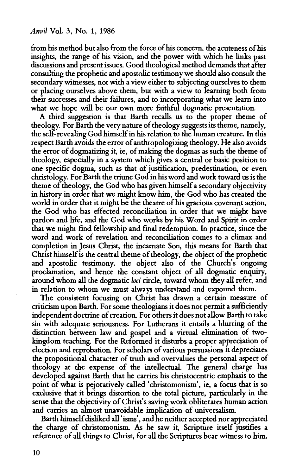from his method but also from the force of his concern, the acuteness of his insights, the range of his vision, and the power with which he links past discussions and present issues. Good theological method demands that after consulting the prophetic and apostolic testimony we should also consult the secondary witnesses, not with a view either to subjecting ourselves to them or placing ourselves above them, but with a view to learning both from their successes and their failures, and to incorporating what we learn into what we hope will be our own more faithful dogmatic presentation.

A third suggestion is that Barth recalls us to the proper theme of theology. For Barth the very nature of theology suggests its theme, namely, the self-revealing God himself in his relation to the human creature. In this respect Barth avoids the error of anthropologizing theology. He also avoids the error of dogmatizing it, ie, of making the dogmas as such the theme of theology, especially in a system which gives a central or basic position to one specific dogma, such as that of justification, predestination, or even christology. For Barth the triune God in his word and work toward us is the theme of theology, the God who has given himself a secondary objectivity in history in order that we might know him, the God who has created the world in order that it might be the theatre of his gracious covenant action, the God who has effected reconciliation in order that we might have pardon and life, and the God who works by his Word and Spirit in order that we might fmd fellowship and fmal redemption. In practice, since the word and work of revelation and reconciliation comes to a climax and completion in Jesus Christ, the incarnate Son, this means for Barth that Christ himself is the central theme of theology, the object of the prophetic and apostolic testimony, the object also of the Church's ongoing proclamation, and hence the constant object of all dogmatic enquiry, around whom all the dogmatic *loci* circle, toward whom they all refer, and in relation to whom we must always understand and expound them.

The consistent focusing on Christ has drawn a certain measure of criticism upon Barth. For some theologians it does not permit a sufficiently independent doctrine of creation. For others it does not allow Barth to take sin with adequate seriousness. For Lutherans it entails a blurring of the distinction between law and gospel and a virtual elimination of twokingdom teaching. For the Reformed it disturbs a proper appreciation of election and reprobation. For scholars of various persuasions it depreciates the propositional character of truth and overvalues the personal aspect of theology at the expense of the intellectual. The general charge has developed against Barth that he carries his christocentric emphasis to the point of what is pejoratively called 'christomonism', ie, a focus that is so exclusive that it brings distortion to the total picture, particularly in the sense that the objectivity of Christ's saving work obliterates human action and carries an almost unavoidable implication of universalism.

Barth himself disliked all 'isms', and he neither accepted nor appreciated the charge of christomonism. As he saw it, Scripture itself justifies a reference of all things to Christ, for all the Scriptures bear witness to him.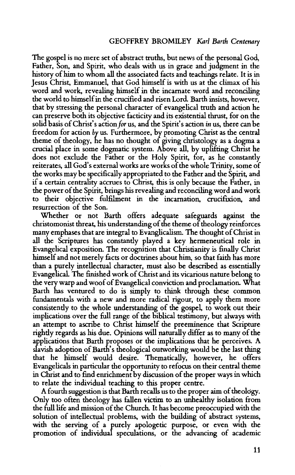The gospel is no mere set of abstract truths, but news of the personal God, Father, Son, and Spirit, who deals with us in grace and judgment in the history of him to whom all the associated facts and teachings relate. It is in Jesus Christ, Emmanuel, that God himself is with us at the climax of his word and work, revealing himself in the incarnate word and reconciling the world to himself in the crucified and risen Lord. Barth insists, however, that by stressing the personal character of evangelical truth and action he can preserve both its objective facticity and its existential thrust, for on the solid basis of Christ's action *for* us, and the Spirit's action *in* us, there can be freedom for action by us. Furthermore, by promoting Christ as the central theme of theology, he has no thought of giving christology as a dogma a crucial place in some dogmatic system. Above all, by uplifting Christ he does not exclude the Father or the Holy Spirit, for, as he constantly reiterates, all God's external works are works of the whole Trinity, some of the works may be specifically appropriated to the Father and the Spirit, and if a certain centrality accrues to Christ, this is only because the Father, in the power of the Spirit, brings his revealing and reconciling word and work to their objective fulfilment in the incarnation, crucifixion, and resurrection of the Son.

Whether or not Barth offers adequate safeguards against the christomonist threat, his understanding of the theme of theology reinforces many emphases that are integral to Evanglicalism. The thought of Christ in all the Scriptures has constantly played a key hermeneutical role in Evangelical exposition. The recognition that Christianity is finally Christ himself and not merely facts or doctrines about him, so that faith has more than a purely intellectual character, must also be described as essentially Evangelical. The finished work of Christ and its vicarious nature belong to the very warp and woof of Evangelical conviction and proclamation. What Barth has ventured to do is simply to think through these common fundamentals with a new and more radical rigour, to apply them more consistently to the whole understanding of the gospeL to work out their implications over the full range of the biblical testimony, but always with an attempt to ascribe to Christ himself the preeminence that Scripture rightly regards as his due. Opinions will naturally differ as to many of the applications that Barth proposes or the implications that he perceives. A slavish adoption of Barth's theological outworking would be the last thing that he himself would desire. Thematically, however, he offers Evangelicals in particular the opportunity to refocus on their central theme in Christ and to find enrichment by discussion of the proper ways in which to relate the individual teaching to this proper centre.

A fourth suggestion is that Barth recalls us to the proper aim of theology. Only too often theology has fallen victim to an unhealthy isolation from the full life and mission of the Church It has become preoccupied with the solution of intellectual problems, with the building of abstract systems, with the serving of a purely apologetic purpose, or even with the promotion of individual speculations, or the advancing of academic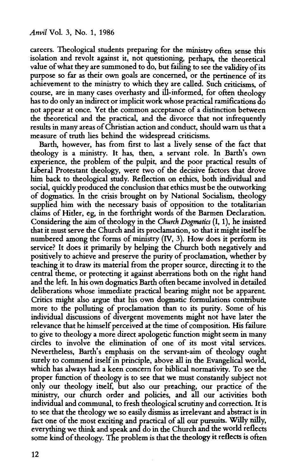careers. Theological students preparing for the ministry often sense this isolation and revolt against it, not questioning, perhaps, the theoretical value of what they are summoned to do, but failing to see the validity of its purpose so far as their own goals are concerned, or the pertinence of its achievement to the ministry to which they are called. Such criticisms, of course, are in many cases overhasty and ill-informed, for often theology has to do only an indirect or implicit work whose practical ramifications do not appear at once. Yet the common acceptance of a distinction between the theoretical and the practical, and the divorce that not infrequendy results in many areas of Christian action and conduct, should warn us that a measure of truth lies behind the widespread criticisms.

Barth, however, has from first to last a lively sense of the fact that theology is a ministry. It has, then, a servant role. In Barth's own experience, the problem of the pulpit, and the poor practical results of Liberal Protestant theology, were two of the decisive factors that drove him back to theological study. Reflection on ethics, both individual and social, quickly produced the conclusion that ethics must be the outworking of dogmatics. In the crisis brought on by National Socialism, theology supplied him with the necessary basis of opposition to the totalitarian claims of Hider, eg, in the forthright words of the Barmen Declaration. Considering the aim of theology in the *Church Dogmatics* {I, 1), he insisted that it must serve the Church and its proclamation, so that it might itself be numbered among the forms of ministry (IV, 3). How does it perform its service? It does it primarily by helping the Church both negatively and positively to achieve and preserve the purity of proclamation, whether by teaching it to draw its material from the proper source, directing it to the central theme, or protecting it against aberrations both on the right hand and the left. In his own dogmatics Barth often became involved in detailed deliberations whose immediate practical bearing might not be apparent Critics might also argue that his own dogmatic formulations contribute more to the polluting of proclamation than to its purity. Some of his individual discussions of divergent movements might not have later the relevance that he himself perceived at the time of composition. His failure to give to theology a more direct apologetic function might seem in many circles to involve the elimination of one of its most vital services. Nevertheless, Barth's emphasis on the servant-aim of theology ought surely to commend itself in principle, above all in the Evangelical world, which has always had a keen concern for biblical normativity. To see the proper function of theology is to see that we must constandy subject not only our theology itself, but also our preaching, our practice of the ministry, our church order and policies, and all our activities both individual and communal, to fresh theological scrutiny and correction. It is to see that the theology we so easily dismiss as irrelevant and abstract is in fact one of the most exciting and practical of all our pursuits. Willy nilly, everything we think and speak and do in the Church and the world reflects some kind of theology. The problem is that the theology it reflects is often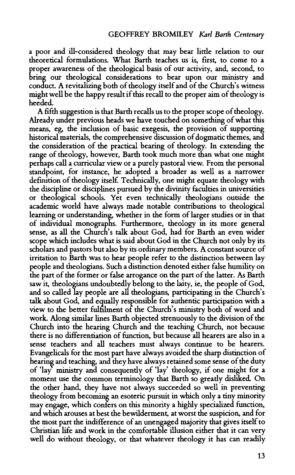a poor and ill-considered theology that may bear little relation to our theoretical formulations. What Barth teaches us is, first, to come to a proper awareness of the theological basis of our activity, and, second, to bring our theological considerations to bear upon our ministry and conduct. A revitalizing both of theology itself and of the Church's witness might well be the happy result if this recall to the proper aim of theology is heeded.

A fifth suggestion is that Barth recalls us to the proper scope of theology. Already under previous heads we have touched on something of what this means, eg, the inclusion of basic exegesis, the provision of supporting historical materials, the comprehensive discussion of dogmatic themes, and the consideration of the practical bearing of theology. In extending the range of theology, however, Barth took much more than what one might perhaps call a curricular view or a purely pastoral view. From the personal standpoint, for instance, he adopted a broader as well as a narrower definition of theology itsel£ Technically, one might equate theology with the discipline or disciplines pursued by the divinity faculties in universities or theological schools. Yet even technically theologians outside the academic world have always made notable contributions to theological learning or understanding, whether in the form of larger studies or in that of individual monographs. Furthermore, theology in its more general sense, as all the Church's talk about God, had for Barth an even wider scope which includes what is said about God in the Church not only by its scholars and pastors but also by its ordinary members. A constant source of irritation to Barth was to hear people refer to the distinction between lay people and theologians. Such a distinction denoted either false humility on the part of the former or false arrogance on the part of the latter. As Barth saw it, theologians undoubtedly belong to the laity, ie, the people of God, and so called lay people are all theologians, participating in the Church's talk about God, and equally responsible for authentic participation with a view to the better fulfilment of the Church's ministry both of word and work. Along similar lines Barth objected strenuously to the division of the Church into the hearing Church and the teaching Church, not because there is no differentiation of function, but because all hearers are also in a sense teachers and all teachers must always continue to be hearers. Evangelicals for the most part have always avoided the sharp distinction of hearing and teaching, and they have always retained some sense of the duty of 'lay ministry and consequently of 'lay' theology, if one might for a moment use the common terminology that Barth so greatly disliked. On the other hand, they have not always succeeded so well in preventing theology from becoming an esoteric pursuit in which only a tiny minority may engage, which confers on this minority a highly specialized function, and which arouses at best the bewilderment, at worst the suspicion, and for the most part the indifference of an unengaged majority that gives itself to Christian life and work in the comfortable illusion either that it can very well do without theology, or that whatever theology it has can readily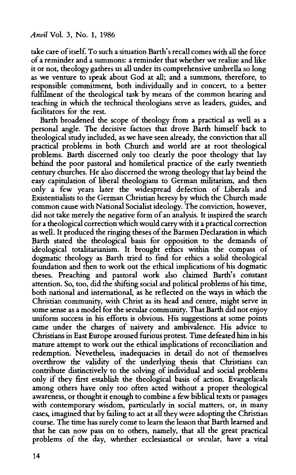take care of itself. To such a situation Barth's recall comes with all the force of a reminder and a summons: a reminder that whether we realize and like it or not, theology gathers us all under its comprehensive umbrella so long as we venture to speak about God at all; and a summons, therefore, to responsible commitment, both individually and in concert, to a better fulfilment of the theological task by means of the common hearing and teaching in which the technical theologians serve as leaders, guides, and facilitators for the rest.

Barth broadened the scope of theology from a practical as well as a personal angle. The decisive factors that drove Barth himself back to theological study included, as we have seen already, the conviction that all practical problems in both Church and world are at root theological problems. Barth discerned only too clearly the poor theology that lay behind the poor pastoral and homiletical practice of the early twentieth century churches. He also discerned the wrong theology that lay beind the easy capitulation of liberal theologians to German militarism, and then only a few years later the widespread defection of Liberals and Existentialists to the German Christian heresy by which the Church made common cause with National Socialist ideology. The conviction, however, did not take merely the negative form of an analysis. It inspired the search for a theological correction which would carry with it a practical correction as well. It produced the ringing theses of the Barmen Declaration in which Barth stated the theological basis for opposition to the demands of ideological totalitarianism. It brought ethics within the compass of dogmatic theology as Barth tried to fmd for ethics a solid theological foundation and then to work out the ethical implications of his dogmatic theses. Preaching and pastoral work also claimed Barth's constant attention. So, too, did the shifting social and political problems of his time, both national and international, as he reflected on the ways in which the Christian community, with Christ as its head and centre, might serve in some sense as a model for the secular community. That Barth did not enjoy uniform success in his efforts is obvious. His suggestions at some points came under the charges of naivety and ambivalence. His advice to Christians in East Europe aroused furious protest. Time defeated him in his mature attempt to work out the ethical implications of reconciliation and redemption. Nevetheless, inadequacies in detail do not of themselves overthrow the validity of the underlying thesis that Christians can contribute distinctively to the solving of individual and social problems only if they first establish the theological basis of action. Evangelicals among others have only too often acted without a proper theological awareness, or thought it enough to combine a few biblical texts or passages with contemporary wisdom, particularly in social matters, or, in many cases, imagined that by failing to act at all they were adopting the Christian course. The time has surely come to learn the lesson that Barth learned and that he can now pass on to others, namely, that all the great practical problems of the day, whether ecclesiastical or secular, have a vital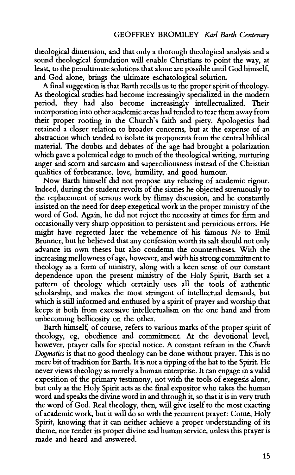theological dimension, and that only a thorough theological analysis and a sound theological foundation will enable Christians to point the way, at least, to the penultimate solutions that alone are possible until God himself, and God alone, brings the ultimate eschatological solution.

A final suggestion is that Barth recalls us to the proper spirit of theology. As theological studies had become increasingly specialized in the modern period, they had also become increasingly intellectualized. Their incorporation into other academic areas had tended to tear them away from their proper rooting in the Church's faith and piety. Apologetics had retained a closer relation to broader concerns, but at the expense of an abstraction which tended to isolate its proponents from the central biblical material. The doubts and debates of the age had brought a polarization which gave a polemical edge to much of the theological writing, nurturing anger and scorn and sarcasm and superciliousness instead of the Christian qualities of forbearance, love, humility, and good humour.

Now Barth himself did not propose any relaxing of academic rigour. Indeed, during the student revolts of the sixties he objected strenuously to the replacement of serious work by flimsy discussion, and he constantly insisted on the need for deep exegetical work in the proper ministry of the word of God. Again, he did not reject the necessity at times for firm and occasionally very sharp opposition to persistent and pernicious errors. He might have regretted later the vehemence of his famous *No* to Emil Brunner, but he believed that any confession worth its salt should not only advance its own theses but also condemn the countertheses. With the increasing mellowness of age, however, and with his strong commitment to theology as a form of ministry, along with a keen sense of our constant dependence upon the present ministry of the Holy Spirit, Barth set a pattern of theology which certainly uses all the tools of authentic scholarship, and makes the most stringent of intellectual demands, but which is still informed and enthused by a spirit of prayer and worship that keeps it both from excessive intellectualism on the one hand and from unbecoming bellicosity on the other.

Barth himself, of course, refers to various marks of the proper spirit of theology, eg, obedience and commitment At the devotional level, however, prayer calls for special notice. A constant refrain in the *Church Dogmatics* is that no good theology can be done without prayer. This is no mere bit of tradition for Barth. It is not a tipping of the hat to the Spirit He never views theology as merely a human enterprise. It can engage in a valid exposition of the primary testimony, not with the tools of exegesis alone, but only as the Holy Spirit acts as the final expositor who takes the human word and speaks the divine word in and through it, so that it is in very truth the word of God. Real theology, then, will give itself to the most exacting of academic work, but it will do so with the recurrent prayer: Come, Holy Spirit, knowing that it can neither achieve a proper understanding of its theme, nor render its proper divine and human service, unless this prayer is made and heard and answered.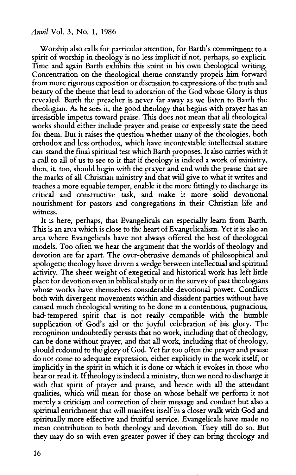## *Anvil* Vol. 3, No. 1, 1986

Worship also calls for particular attention, for Barth's commitment to a spirit of worship in theology is no less implicit if not, perhaps, so explicit. Time and again Barth exhibits this spirit in his own theological writing. Concentration on the theological theme constantly propels him forward from more rigorous exposition or discussion to expressions of the truth and beauty of the theme that lead to adoration of the God whose Glory is thus revealed. Barth the preacher is never far away as we listen to Barth the theologian. As he sees it, the good theology that begins with prayer has an irresistible impetus toward praise. This does not mean that all theological works should either include prayer and praise or expressly state the need for them. But it raises the question whether many of the theologies, both orthodox and less orthodox, which have incontestable intellectual stature can stand the final spiritual test which Barth proposes. It also carries with it a call to all of us to see to it that if theology is indeed a work of ministry, then, it, too, should begin with the prayer and end with the praise that are the marks of all Christian ministry and that will give to what it writes and teaches a more equable temper, enable it the more fittingly to discharge its critical and constructive task, and make it more solid devotional nourishment for pastors and congregations in their Christian life and witness.

It is here, perhaps, that Evangelicals can especially learn from Barth. This is an area which is close to the heart of Evangelicalism. Yet it is also an area where Evangelicals have not always offered the best of theological models. Too often we hear the argument that the worlds of theology and devotion are far apart. The over-obtrusive demands of philosophical and apologetic theology have driven a wedge between intellectual and spiritual activity. The sheer weight of exegetical and historical work has left little place for devotion even in biblical study or in the survey of past theologians whose works have themselves considerable devotional power. Conflicts both with divergent movements within and dissident parties without have caused much theological writing to be done in a contentious, pugnacious, bad-tempered spirit that is not reaily compatible with the humble supplication of God's aid or the joyful celebration of his glory. The recognition undoubtedly persists that no work, including that of theology, can be done without prayer, and that all work, including that of theology, should redound to the glory of God. Yet far too often the prayer and praise do not come to adequate expression, either explicitly in the work itself, or implicitly in the spirit in which it is done or which it evokes in those who hear or read it. If theology is indeed a ministry, then we need to discharge it with that spirit of prayer and praise, and hence with all the attendant qualities, which will mean for those on whose behalf we perform it not merely a criticism and correction of their message and conduct but also a spiritual enrichment that will manifest itself in a closer walk with God and spiritually more effective and fruitful service. Evangelicals have made no mean contribution to both theology and devotion. They still do so. But they may do so with even greater power if they can bring theology and